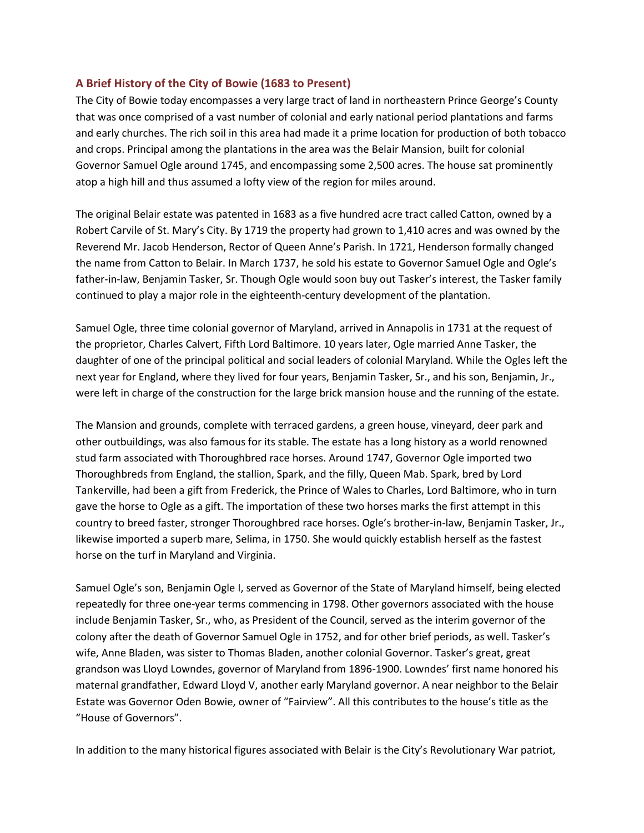## **A Brief History of the City of Bowie (1683 to Present)**

The City of Bowie today encompasses a very large tract of land in northeastern Prince George's County that was once comprised of a vast number of colonial and early national period plantations and farms and early churches. The rich soil in this area had made it a prime location for production of both tobacco and crops. Principal among the plantations in the area was the Belair Mansion, built for colonial Governor Samuel Ogle around 1745, and encompassing some 2,500 acres. The house sat prominently atop a high hill and thus assumed a lofty view of the region for miles around.

The original Belair estate was patented in 1683 as a five hundred acre tract called Catton, owned by a Robert Carvile of St. Mary's City. By 1719 the property had grown to 1,410 acres and was owned by the Reverend Mr. Jacob Henderson, Rector of Queen Anne's Parish. In 1721, Henderson formally changed the name from Catton to Belair. In March 1737, he sold his estate to Governor Samuel Ogle and Ogle's father-in-law, Benjamin Tasker, Sr. Though Ogle would soon buy out Tasker's interest, the Tasker family continued to play a major role in the eighteenth-century development of the plantation.

Samuel Ogle, three time colonial governor of Maryland, arrived in Annapolis in 1731 at the request of the proprietor, Charles Calvert, Fifth Lord Baltimore. 10 years later, Ogle married Anne Tasker, the daughter of one of the principal political and social leaders of colonial Maryland. While the Ogles left the next year for England, where they lived for four years, Benjamin Tasker, Sr., and his son, Benjamin, Jr., were left in charge of the construction for the large brick mansion house and the running of the estate.

The Mansion and grounds, complete with terraced gardens, a green house, vineyard, deer park and other outbuildings, was also famous for its stable. The estate has a long history as a world renowned stud farm associated with Thoroughbred race horses. Around 1747, Governor Ogle imported two Thoroughbreds from England, the stallion, Spark, and the filly, Queen Mab. Spark, bred by Lord Tankerville, had been a gift from Frederick, the Prince of Wales to Charles, Lord Baltimore, who in turn gave the horse to Ogle as a gift. The importation of these two horses marks the first attempt in this country to breed faster, stronger Thoroughbred race horses. Ogle's brother-in-law, Benjamin Tasker, Jr., likewise imported a superb mare, Selima, in 1750. She would quickly establish herself as the fastest horse on the turf in Maryland and Virginia.

Samuel Ogle's son, Benjamin Ogle I, served as Governor of the State of Maryland himself, being elected repeatedly for three one-year terms commencing in 1798. Other governors associated with the house include Benjamin Tasker, Sr., who, as President of the Council, served as the interim governor of the colony after the death of Governor Samuel Ogle in 1752, and for other brief periods, as well. Tasker's wife, Anne Bladen, was sister to Thomas Bladen, another colonial Governor. Tasker's great, great grandson was Lloyd Lowndes, governor of Maryland from 1896-1900. Lowndes' first name honored his maternal grandfather, Edward Lloyd V, another early Maryland governor. A near neighbor to the Belair Estate was Governor Oden Bowie, owner of "Fairview". All this contributes to the house's title as the "House of Governors".

In addition to the many historical figures associated with Belair is the City's Revolutionary War patriot,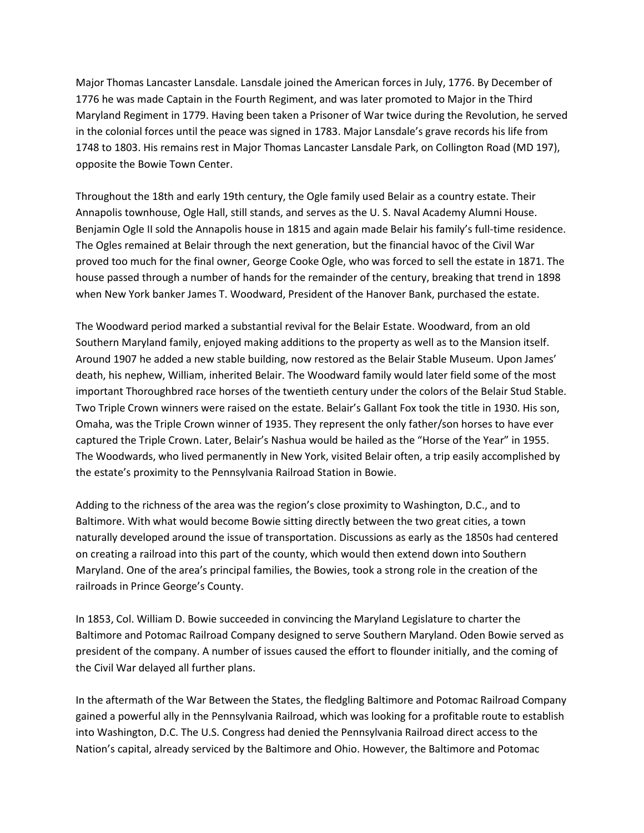Major Thomas Lancaster Lansdale. Lansdale joined the American forces in July, 1776. By December of 1776 he was made Captain in the Fourth Regiment, and was later promoted to Major in the Third Maryland Regiment in 1779. Having been taken a Prisoner of War twice during the Revolution, he served in the colonial forces until the peace was signed in 1783. Major Lansdale's grave records his life from 1748 to 1803. His remains rest in Major Thomas Lancaster Lansdale Park, on Collington Road (MD 197), opposite the Bowie Town Center.

Throughout the 18th and early 19th century, the Ogle family used Belair as a country estate. Their Annapolis townhouse, Ogle Hall, still stands, and serves as the U. S. Naval Academy Alumni House. Benjamin Ogle II sold the Annapolis house in 1815 and again made Belair his family's full-time residence. The Ogles remained at Belair through the next generation, but the financial havoc of the Civil War proved too much for the final owner, George Cooke Ogle, who was forced to sell the estate in 1871. The house passed through a number of hands for the remainder of the century, breaking that trend in 1898 when New York banker James T. Woodward, President of the Hanover Bank, purchased the estate.

The Woodward period marked a substantial revival for the Belair Estate. Woodward, from an old Southern Maryland family, enjoyed making additions to the property as well as to the Mansion itself. Around 1907 he added a new stable building, now restored as the Belair Stable Museum. Upon James' death, his nephew, William, inherited Belair. The Woodward family would later field some of the most important Thoroughbred race horses of the twentieth century under the colors of the Belair Stud Stable. Two Triple Crown winners were raised on the estate. Belair's Gallant Fox took the title in 1930. His son, Omaha, was the Triple Crown winner of 1935. They represent the only father/son horses to have ever captured the Triple Crown. Later, Belair's Nashua would be hailed as the "Horse of the Year" in 1955. The Woodwards, who lived permanently in New York, visited Belair often, a trip easily accomplished by the estate's proximity to the Pennsylvania Railroad Station in Bowie.

Adding to the richness of the area was the region's close proximity to Washington, D.C., and to Baltimore. With what would become Bowie sitting directly between the two great cities, a town naturally developed around the issue of transportation. Discussions as early as the 1850s had centered on creating a railroad into this part of the county, which would then extend down into Southern Maryland. One of the area's principal families, the Bowies, took a strong role in the creation of the railroads in Prince George's County.

In 1853, Col. William D. Bowie succeeded in convincing the Maryland Legislature to charter the Baltimore and Potomac Railroad Company designed to serve Southern Maryland. Oden Bowie served as president of the company. A number of issues caused the effort to flounder initially, and the coming of the Civil War delayed all further plans.

In the aftermath of the War Between the States, the fledgling Baltimore and Potomac Railroad Company gained a powerful ally in the Pennsylvania Railroad, which was looking for a profitable route to establish into Washington, D.C. The U.S. Congress had denied the Pennsylvania Railroad direct access to the Nation's capital, already serviced by the Baltimore and Ohio. However, the Baltimore and Potomac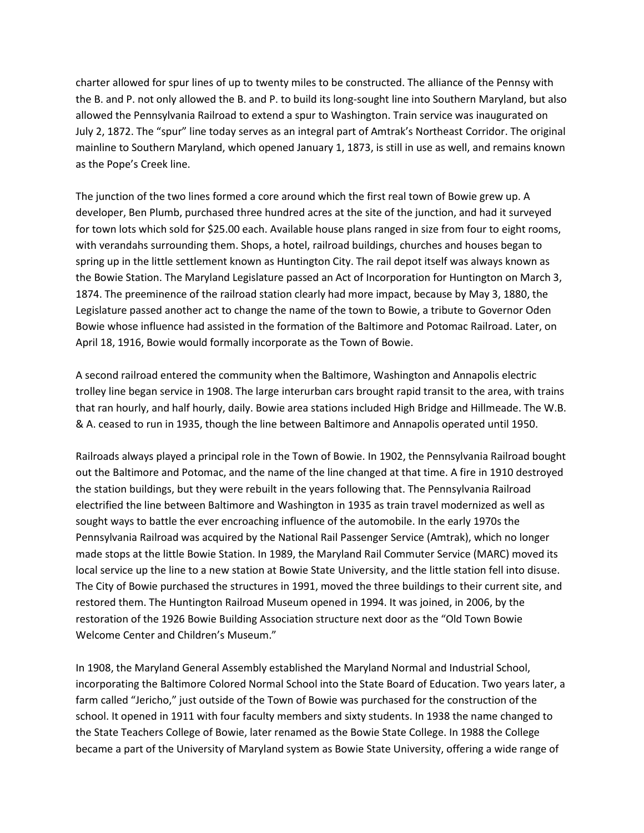charter allowed for spur lines of up to twenty miles to be constructed. The alliance of the Pennsy with the B. and P. not only allowed the B. and P. to build its long-sought line into Southern Maryland, but also allowed the Pennsylvania Railroad to extend a spur to Washington. Train service was inaugurated on July 2, 1872. The "spur" line today serves as an integral part of Amtrak's Northeast Corridor. The original mainline to Southern Maryland, which opened January 1, 1873, is still in use as well, and remains known as the Pope's Creek line.

The junction of the two lines formed a core around which the first real town of Bowie grew up. A developer, Ben Plumb, purchased three hundred acres at the site of the junction, and had it surveyed for town lots which sold for \$25.00 each. Available house plans ranged in size from four to eight rooms, with verandahs surrounding them. Shops, a hotel, railroad buildings, churches and houses began to spring up in the little settlement known as Huntington City. The rail depot itself was always known as the Bowie Station. The Maryland Legislature passed an Act of Incorporation for Huntington on March 3, 1874. The preeminence of the railroad station clearly had more impact, because by May 3, 1880, the Legislature passed another act to change the name of the town to Bowie, a tribute to Governor Oden Bowie whose influence had assisted in the formation of the Baltimore and Potomac Railroad. Later, on April 18, 1916, Bowie would formally incorporate as the Town of Bowie.

A second railroad entered the community when the Baltimore, Washington and Annapolis electric trolley line began service in 1908. The large interurban cars brought rapid transit to the area, with trains that ran hourly, and half hourly, daily. Bowie area stations included High Bridge and Hillmeade. The W.B. & A. ceased to run in 1935, though the line between Baltimore and Annapolis operated until 1950.

Railroads always played a principal role in the Town of Bowie. In 1902, the Pennsylvania Railroad bought out the Baltimore and Potomac, and the name of the line changed at that time. A fire in 1910 destroyed the station buildings, but they were rebuilt in the years following that. The Pennsylvania Railroad electrified the line between Baltimore and Washington in 1935 as train travel modernized as well as sought ways to battle the ever encroaching influence of the automobile. In the early 1970s the Pennsylvania Railroad was acquired by the National Rail Passenger Service (Amtrak), which no longer made stops at the little Bowie Station. In 1989, the Maryland Rail Commuter Service (MARC) moved its local service up the line to a new station at Bowie State University, and the little station fell into disuse. The City of Bowie purchased the structures in 1991, moved the three buildings to their current site, and restored them. The Huntington Railroad Museum opened in 1994. It was joined, in 2006, by the restoration of the 1926 Bowie Building Association structure next door as the "Old Town Bowie Welcome Center and Children's Museum."

In 1908, the Maryland General Assembly established the Maryland Normal and Industrial School, incorporating the Baltimore Colored Normal School into the State Board of Education. Two years later, a farm called "Jericho," just outside of the Town of Bowie was purchased for the construction of the school. It opened in 1911 with four faculty members and sixty students. In 1938 the name changed to the State Teachers College of Bowie, later renamed as the Bowie State College. In 1988 the College became a part of the University of Maryland system as Bowie State University, offering a wide range of